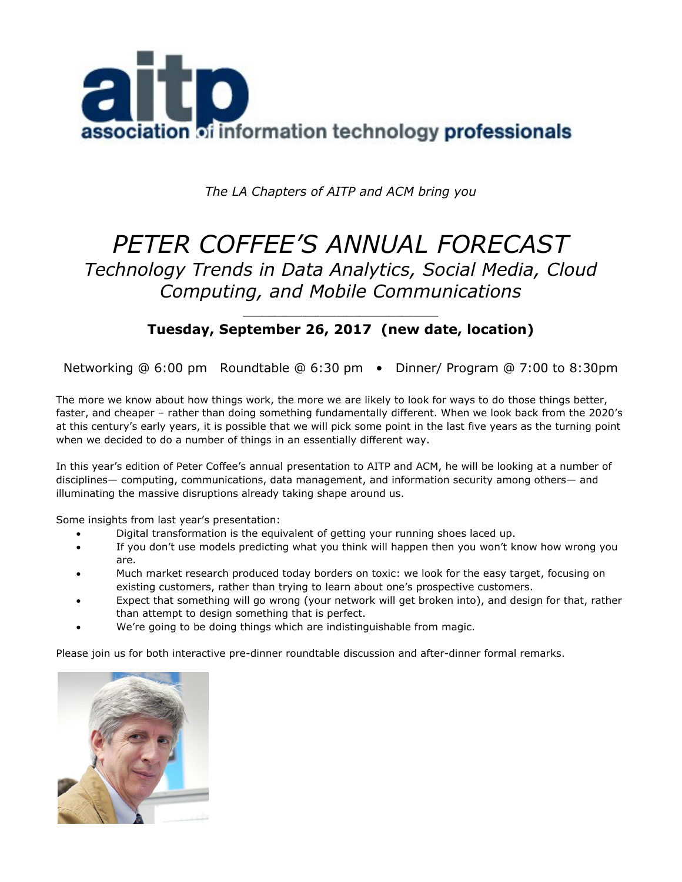

*The LA Chapters of AITP and ACM bring you*

# *PETER COFFEE'S ANNUAL FORECAST Technology Trends in Data Analytics, Social Media, Cloud Computing, and Mobile Communications*

## \_\_\_\_\_\_\_\_\_\_\_\_\_\_\_\_\_\_\_\_\_\_\_ **Tuesday, September 26, 2017 (new date, location)**

Networking @ 6:00 pm Roundtable @ 6:30 pm • Dinner/ Program @ 7:00 to 8:30pm

The more we know about how things work, the more we are likely to look for ways to do those things better, faster, and cheaper – rather than doing something fundamentally different. When we look back from the 2020's at this century's early years, it is possible that we will pick some point in the last five years as the turning point when we decided to do a number of things in an essentially different way.

In this year's edition of Peter Coffee's annual presentation to AITP and ACM, he will be looking at a number of disciplines— computing, communications, data management, and information security among others— and illuminating the massive disruptions already taking shape around us.

Some insights from last year's presentation:

- Digital transformation is the equivalent of getting your running shoes laced up.
- If you don't use models predicting what you think will happen then you won't know how wrong you are.
- Much market research produced today borders on toxic: we look for the easy target, focusing on existing customers, rather than trying to learn about one's prospective customers.
- Expect that something will go wrong (your network will get broken into), and design for that, rather than attempt to design something that is perfect.
- We're going to be doing things which are indistinguishable from magic.

Please join us for both interactive pre-dinner roundtable discussion and after-dinner formal remarks.

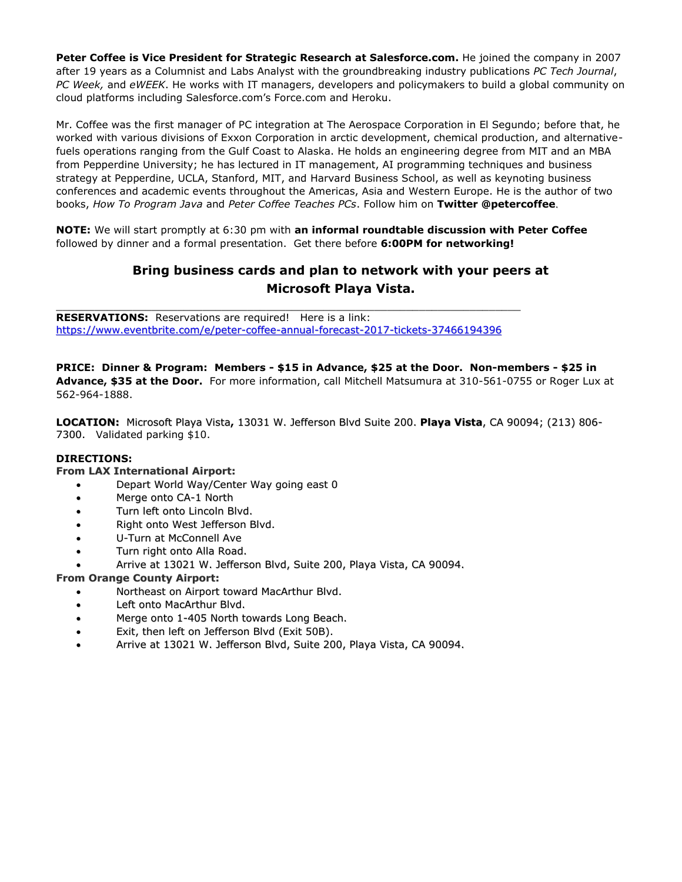**Peter Coffee is Vice President for Strategic Research at Salesforce.com.** He joined the company in 2007 after 19 years as a Columnist and Labs Analyst with the groundbreaking industry publications *PC Tech Journal*, *PC Week,* and *eWEEK*. He works with IT managers, developers and policymakers to build a global community on cloud platforms including Salesforce.com's Force.com and Heroku.

Mr. Coffee was the first manager of PC integration at The Aerospace Corporation in El Segundo; before that, he worked with various divisions of Exxon Corporation in arctic development, chemical production, and alternativefuels operations ranging from the Gulf Coast to Alaska. He holds an engineering degree from MIT and an MBA from Pepperdine University; he has lectured in IT management, AI programming techniques and business strategy at Pepperdine, UCLA, Stanford, MIT, and Harvard Business School, as well as keynoting business conferences and academic events throughout the Americas, Asia and Western Europe. He is the author of two books, *How To Program Java* and *Peter Coffee Teaches PCs*. Follow him on **Twitter @petercoffee**.

**NOTE:** We will start promptly at 6:30 pm with **an informal roundtable discussion with Peter Coffee** followed by dinner and a formal presentation. Get there before **6:00PM for networking!** 

# **Bring business cards and plan to network with your peers at Microsoft Playa Vista.**

**RESERVATIONS:** Reservations are required! Here is a link: <https://www.eventbrite.com/e/peter-coffee-annual-forecast-2017-tickets-37466194396>

\_\_\_\_\_\_\_\_\_\_\_\_\_\_\_\_\_\_\_\_\_\_\_\_\_\_\_\_\_\_\_\_\_\_\_\_\_\_\_\_\_\_\_\_\_\_\_\_\_\_\_\_\_\_\_\_\_\_\_\_\_\_\_\_\_\_\_\_\_\_\_\_\_

**PRICE: Dinner & Program: Members - \$15 in Advance, \$25 at the Door. Non-members - \$25 in Advance, \$35 at the Door.** For more information, call Mitchell Matsumura at 310-561-0755 or Roger Lux at 562-964-1888.

**LOCATION:** Microsoft Playa Vista**,** 13031 W. Jefferson Blvd Suite 200. **Playa Vista**, CA 90094; (213) 806- 7300. Validated parking \$10.

## **DIRECTIONS:**

#### **From LAX International Airport:**

- Depart World Way/Center Way going east 0
- Merge onto CA-1 North
- Turn left onto Lincoln Blvd.
- Right onto West Jefferson Blvd.
- U-Turn at McConnell Ave
- Turn right onto Alla Road.
- Arrive at 13021 W. Jefferson Blvd, Suite 200, Playa Vista, CA 90094.

#### **From Orange County Airport:**

- Northeast on Airport toward MacArthur Blvd.
- Left onto MacArthur Blvd.
- Merge onto 1-405 North towards Long Beach.
- Exit, then left on Jefferson Blvd (Exit 50B).
- Arrive at 13021 W. Jefferson Blvd, Suite 200, Playa Vista, CA 90094.